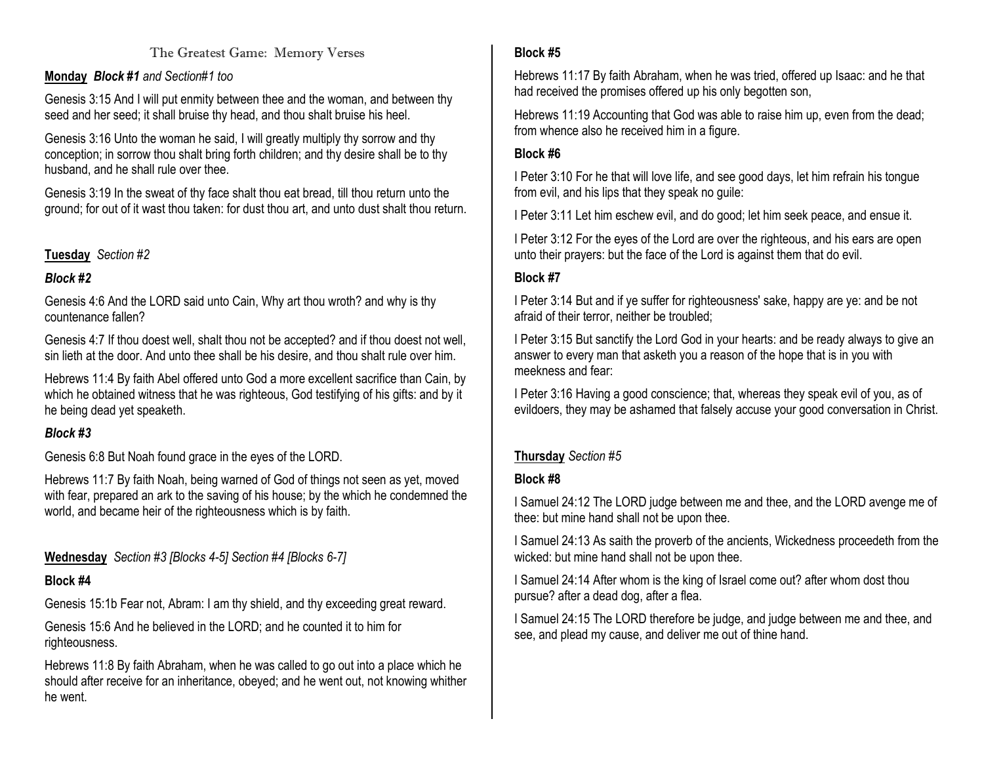#### The Greatest Game: Memory Verses

#### **Monday** *Block #1 and Section#1 too*

Genesis 3:15 And I will put enmity between thee and the woman, and between thy seed and her seed; it shall bruise thy head, and thou shalt bruise his heel.

Genesis 3:16 Unto the woman he said, I will greatly multiply thy sorrow and thy conception; in sorrow thou shalt bring forth children; and thy desire shall be to thy husband, and he shall rule over thee.

Genesis 3:19 In the sweat of thy face shalt thou eat bread, till thou return unto the ground; for out of it wast thou taken: for dust thou art, and unto dust shalt thou return.

# **Tuesday** *Section #2*

# *Block #2*

Genesis 4:6 And the LORD said unto Cain, Why art thou wroth? and why is thy countenance fallen?

Genesis 4:7 If thou doest well, shalt thou not be accepted? and if thou doest not well, sin lieth at the door. And unto thee shall be his desire, and thou shalt rule over him.

Hebrews 11:4 By faith Abel offered unto God a more excellent sacrifice than Cain, by which he obtained witness that he was righteous, God testifying of his gifts: and by it he being dead yet speaketh.

# *Block #3*

Genesis 6:8 But Noah found grace in the eyes of the LORD.

Hebrews 11:7 By faith Noah, being warned of God of things not seen as yet, moved with fear, prepared an ark to the saving of his house; by the which he condemned the world, and became heir of the righteousness which is by faith.

**Wednesday** *Section #3 [Blocks 4-5] Section #4 [Blocks 6-7]*

#### **Block #4**

Genesis 15:1b Fear not, Abram: I am thy shield, and thy exceeding great reward.

Genesis 15:6 And he believed in the LORD; and he counted it to him for righteousness.

Hebrews 11:8 By faith Abraham, when he was called to go out into a place which he should after receive for an inheritance, obeyed; and he went out, not knowing whither he went.

## **Block #5**

Hebrews 11:17 By faith Abraham, when he was tried, offered up Isaac: and he that had received the promises offered up his only begotten son,

Hebrews 11:19 Accounting that God was able to raise him up, even from the dead; from whence also he received him in a figure.

## **Block #6**

I Peter 3:10 For he that will love life, and see good days, let him refrain his tongue from evil, and his lips that they speak no guile:

I Peter 3:11 Let him eschew evil, and do good; let him seek peace, and ensue it.

I Peter 3:12 For the eyes of the Lord are over the righteous, and his ears are open unto their prayers: but the face of the Lord is against them that do evil.

## **Block #7**

I Peter 3:14 But and if ye suffer for righteousness' sake, happy are ye: and be not afraid of their terror, neither be troubled;

I Peter 3:15 But sanctify the Lord God in your hearts: and be ready always to give an answer to every man that asketh you a reason of the hope that is in you with meekness and fear:

I Peter 3:16 Having a good conscience; that, whereas they speak evil of you, as of evildoers, they may be ashamed that falsely accuse your good conversation in Christ.

# **Thursday** *Section #5*

# **Block #8**

I Samuel 24:12 The LORD judge between me and thee, and the LORD avenge me of thee: but mine hand shall not be upon thee.

I Samuel 24:13 As saith the proverb of the ancients, Wickedness proceedeth from the wicked: but mine hand shall not be upon thee.

I Samuel 24:14 After whom is the king of Israel come out? after whom dost thou pursue? after a dead dog, after a flea.

I Samuel 24:15 The LORD therefore be judge, and judge between me and thee, and see, and plead my cause, and deliver me out of thine hand.